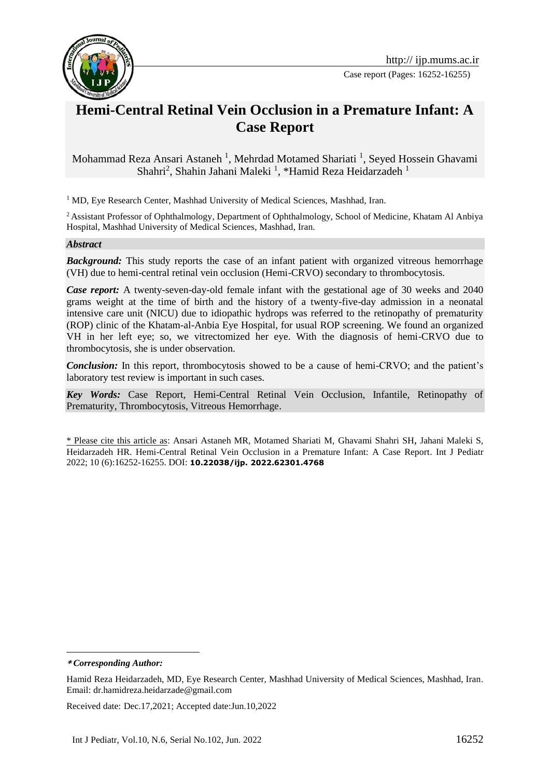

Case report (Pages: 16252-16255)

# **Hemi-Central Retinal Vein Occlusion in a Premature Infant: A Case Report**

Mohammad Reza Ansari Astaneh<sup>1</sup>, Mehrdad Motamed Shariati<sup>1</sup>, Seyed Hossein Ghavami Shahri<sup>2</sup>, Shahin Jahani Maleki<sup>1</sup>, \*Hamid Reza Heidarzadeh<sup>1</sup>

<sup>1</sup> MD, Eye Research Center, Mashhad University of Medical Sciences, Mashhad, Iran.

<sup>2</sup> Assistant Professor of Ophthalmology, Department of Ophthalmology, School of Medicine, Khatam Al Anbiya Hospital, Mashhad University of Medical Sciences, Mashhad, Iran.

#### *Abstract*

**Background:** This study reports the case of an infant patient with organized vitreous hemorrhage (VH) due to hemi-central retinal vein occlusion (Hemi-CRVO) secondary to thrombocytosis.

*Case report:* A twenty-seven-day-old female infant with the gestational age of 30 weeks and 2040 grams weight at the time of birth and the history of a twenty-five-day admission in a neonatal intensive care unit (NICU) due to idiopathic hydrops was referred to the retinopathy of prematurity (ROP) clinic of the Khatam-al-Anbia Eye Hospital, for usual ROP screening. We found an organized VH in her left eye; so, we vitrectomized her eye. With the diagnosis of hemi-CRVO due to thrombocytosis, she is under observation.

*Conclusion:* In this report, thrombocytosis showed to be a cause of hemi-CRVO; and the patient's laboratory test review is important in such cases.

*Key Words:* Case Report, Hemi-Central Retinal Vein Occlusion, Infantile, Retinopathy of Prematurity, Thrombocytosis, Vitreous Hemorrhage.

\* Please cite this article as: Ansari Astaneh MR, Motamed Shariati M, Ghavami Shahri SH, Jahani Maleki S, Heidarzadeh HR. Hemi-Central Retinal Vein Occlusion in a Premature Infant: A Case Report. Int J Pediatr 2022; 10 (6):16252-16255. DOI: **10.22038/ijp. 2022.62301.4768**

**\*** *Corresponding Author:*

1

Received date: Dec.17,2021; Accepted date:Jun.10,2022

Hamid Reza Heidarzadeh, MD, Eye Research Center, Mashhad University of Medical Sciences, Mashhad, Iran. Email: dr.hamidreza.heidarzade@gmail.com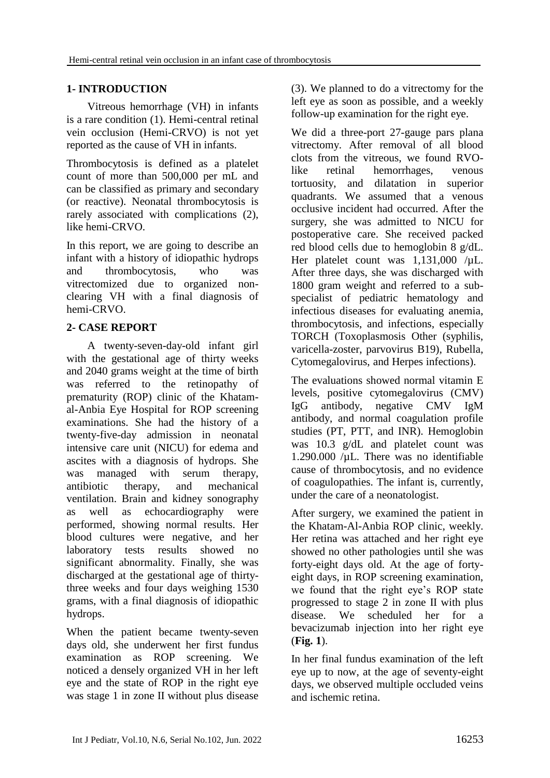## **1- INTRODUCTION**

Vitreous hemorrhage (VH) in infants is a rare condition (1). Hemi-central retinal vein occlusion (Hemi-CRVO) is not yet reported as the cause of VH in infants.

Thrombocytosis is defined as a platelet count of more than 500,000 per mL and can be classified as primary and secondary (or reactive). Neonatal thrombocytosis is rarely associated with complications (2), like hemi-CRVO.

In this report, we are going to describe an infant with a history of idiopathic hydrops and thrombocytosis, who was vitrectomized due to organized nonclearing VH with a final diagnosis of hemi-CRVO.

## **2- CASE REPORT**

A twenty-seven-day-old infant girl with the gestational age of thirty weeks and 2040 grams weight at the time of birth was referred to the retinopathy of prematurity (ROP) clinic of the Khatamal-Anbia Eye Hospital for ROP screening examinations. She had the history of a twenty-five-day admission in neonatal intensive care unit (NICU) for edema and ascites with a diagnosis of hydrops. She was managed with serum therapy, antibiotic therapy, and mechanical ventilation. Brain and kidney sonography as well as echocardiography were performed, showing normal results. Her blood cultures were negative, and her laboratory tests results showed no significant abnormality. Finally, she was discharged at the gestational age of thirtythree weeks and four days weighing 1530 grams, with a final diagnosis of idiopathic hydrops.

When the patient became twenty-seven days old, she underwent her first fundus examination as ROP screening. We noticed a densely organized VH in her left eye and the state of ROP in the right eye was stage 1 in zone II without plus disease (3). We planned to do a vitrectomy for the left eye as soon as possible, and a weekly follow-up examination for the right eye.

We did a three-port 27-gauge pars plana vitrectomy. After removal of all blood clots from the vitreous, we found RVOlike retinal hemorrhages, venous tortuosity, and dilatation in superior quadrants. We assumed that a venous occlusive incident had occurred. After the surgery, she was admitted to NICU for postoperative care. She received packed red blood cells due to hemoglobin 8 g/dL. Her platelet count was 1,131,000 /uL. After three days, she was discharged with 1800 gram weight and referred to a subspecialist of pediatric hematology and infectious diseases for evaluating anemia, thrombocytosis, and infections, especially TORCH (Toxoplasmosis Other (syphilis, varicella-zoster, parvovirus B19), Rubella, Cytomegalovirus, and Herpes infections).

The evaluations showed normal vitamin E levels, positive cytomegalovirus (CMV) IgG antibody, negative CMV IgM antibody, and normal coagulation profile studies (PT, PTT, and INR). Hemoglobin was 10.3 g/dL and platelet count was 1.290.000 /µL. There was no identifiable cause of thrombocytosis, and no evidence of coagulopathies. The infant is, currently, under the care of a neonatologist.

After surgery, we examined the patient in the Khatam-Al-Anbia ROP clinic, weekly. Her retina was attached and her right eye showed no other pathologies until she was forty-eight days old. At the age of fortyeight days, in ROP screening examination, we found that the right eye's ROP state progressed to stage 2 in zone II with plus disease. We scheduled her for a bevacizumab injection into her right eye (**Fig. 1**).

In her final fundus examination of the left eye up to now, at the age of seventy-eight days, we observed multiple occluded veins and ischemic retina.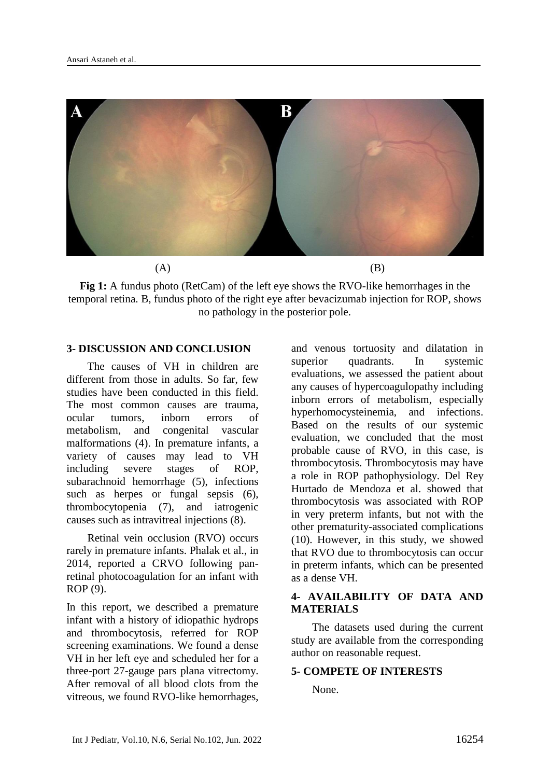

**Fig 1:** A fundus photo (RetCam) of the left eye shows the RVO-like hemorrhages in the temporal retina. B, fundus photo of the right eye after bevacizumab injection for ROP, shows no pathology in the posterior pole.

### **3- DISCUSSION AND CONCLUSION**

The causes of VH in children are different from those in adults. So far, few studies have been conducted in this field. The most common causes are trauma, ocular tumors, inborn errors of metabolism, and congenital vascular malformations (4). In premature infants, a variety of causes may lead to VH including severe stages of ROP, subarachnoid hemorrhage (5), infections such as herpes or fungal sepsis (6), thrombocytopenia (7), and iatrogenic causes such as intravitreal injections (8).

Retinal vein occlusion (RVO) occurs rarely in premature infants. Phalak et al., in 2014, reported a CRVO following panretinal photocoagulation for an infant with ROP (9).

In this report, we described a premature infant with a history of idiopathic hydrops and thrombocytosis, referred for ROP screening examinations. We found a dense VH in her left eye and scheduled her for a three-port 27-gauge pars plana vitrectomy. After removal of all blood clots from the vitreous, we found RVO-like hemorrhages,

and venous tortuosity and dilatation in superior quadrants. In systemic evaluations, we assessed the patient about any causes of hypercoagulopathy including inborn errors of metabolism, especially hyperhomocysteinemia, and infections. Based on the results of our systemic evaluation, we concluded that the most probable cause of RVO, in this case, is thrombocytosis. Thrombocytosis may have a role in ROP pathophysiology. Del Rey Hurtado de Mendoza et al. showed that thrombocytosis was associated with ROP in very preterm infants, but not with the other prematurity-associated complications (10). However, in this study, we showed that RVO due to thrombocytosis can occur in preterm infants, which can be presented as a dense VH.

## **4- AVAILABILITY OF DATA AND MATERIALS**

The datasets used during the current study are available from the corresponding author on reasonable request.

#### **5- COMPETE OF INTERESTS**

None.